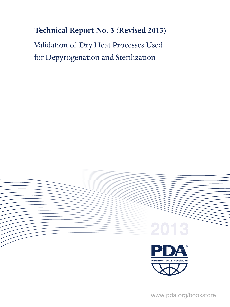# **Technical Report No. 3 (Revised 2013)**

Validation of Dry Heat Processes Used for Depyrogenation and Sterilization



 $\overline{\mathbf{r}}$ www.pda.org/bookstore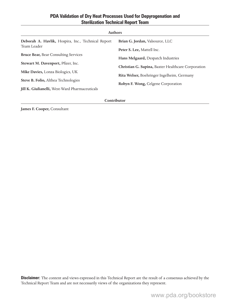### **PDA Validation of Dry Heat Processes Used for Depyrogenation and Sterilization Technical Report Team**

| <b>Authors</b>                                     |                                                    |  |
|----------------------------------------------------|----------------------------------------------------|--|
| Deborah A. Havlik, Hospira, Inc., Technical Report | Brian G. Jordan, Valsource, LLC                    |  |
| Team Leader                                        | Peter S. Lee, Mattell Inc.                         |  |
| <b>Bruce Bear, Bear Consulting Services</b>        | Hans Melgaard, Despatch Industries                 |  |
| Stewart M. Davenport, Pfizer, Inc.                 | Christian G. Supina, Baxter Healthcare Corporation |  |
| Mike Davies, Lonza Biologics, UK                   |                                                    |  |
| Steve B. Folio, Althea Technologies                | Rita Welser, Boehringer Ingelheim, Germany         |  |
| Jill K. Giulianelli, West-Ward Pharmaceuticals     | Robyn F. Wong, Celgene Corporation                 |  |

#### **Contributor**

**James F. Cooper,** Consultant

**Disclaimer:** The content and views expressed in this Technical Report are the result of a consensus achieved by the Technical Report Team and are not necessarily views of the organizations they represent.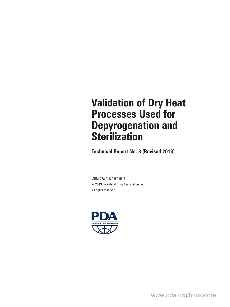# **Validation of Dry Heat Processes Used for Depyrogenation and Sterilization**

**Technical Report No. 3 (Revised 2013)**

ISBN: 978-0-939459-56-8 © 2013 Parenteral Drug Association, Inc. All rights reserved.



www.pda.org/bookstore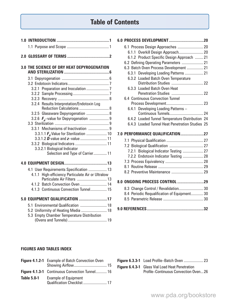## **Table of Contents**

| 3.0 THE SCIENCE OF DRY HEAT DEPYROGENATION                               |
|--------------------------------------------------------------------------|
|                                                                          |
|                                                                          |
|                                                                          |
|                                                                          |
|                                                                          |
| 3.2.4 Results Interpretation/Endotoxin Log                               |
| Reduction Calculations  8                                                |
| 3.2.5 Glassware Depyrogenation  8                                        |
|                                                                          |
| 3.3.1 Mechanisms of Inactivation  9                                      |
|                                                                          |
| 3.3.1.2 <b>D</b> -value and z-value  11                                  |
| 3.3.2 Biological Indicators  11                                          |
| 3.3.2.1 Biological Indicator                                             |
| Selection and Type of Carrier 11                                         |
|                                                                          |
| 4.1 User Requirements Specification  13                                  |
| High-efficiency Particulate Air or Ultralow<br>4.1.1                     |
| Particulate Air Filters  13                                              |
| 4.1.2 Batch Convection Oven  14<br>4.1.3 Continuous Convection Tunnel 15 |
|                                                                          |
| 5.0 EQUIPMENT QUALIFICATION 17                                           |
| 5.1 Environmental Qualification  18                                      |
| 5.2 Uniformity of Heating Media  18                                      |
| <b>Empty Chamber Temperature Distribution</b><br>5.3                     |
|                                                                          |

| 6.1 Process Design Approaches  20                           |  |
|-------------------------------------------------------------|--|
| 6.1.1 Overkill Design Approach 20                           |  |
| 6.1.2 Product Specific Design Approach  21                  |  |
| 6.2 Defining Operating Parameters  21                       |  |
| 6.3 Batch Oven Process Development  21                      |  |
| 6.3.1 Developing Loading Patterns  21                       |  |
| 6.3.2 Loaded Batch Oven Temperature                         |  |
| Distribution Studies  22                                    |  |
| 6.3.3 Loaded Batch Oven Heat                                |  |
| Penetration Studies  22<br>6.4 Continuous Convection Tunnel |  |
|                                                             |  |
| Developing Loading Patterns -<br>6.4.1                      |  |
|                                                             |  |
| 6.4.2 Loaded Tunnel Temperature Distribution 24             |  |
| 6.4.3 Loaded Tunnel Heat Penetration Studies 25             |  |
|                                                             |  |
| 7.0 PERFORMANCE QUALIFICATION27                             |  |
|                                                             |  |
|                                                             |  |
| 7.2.1 Biological Indicator Testing  27                      |  |
| 7.2.2 Endotoxin Indicator Testing  28                       |  |
|                                                             |  |
|                                                             |  |
| 8.2 Preventive Maintenance  29                              |  |
|                                                             |  |
| 8.3 Change Control / Revalidation 30                        |  |
| 8.4 Periodic Requalification of Equipment 30                |  |
|                                                             |  |
|                                                             |  |

|--|--|--|--|--|

#### **FIGURES AND TABLES INDEX**

|                    | Figure 4.1.2-1 Example of Batch Convection Oven            |  |
|--------------------|------------------------------------------------------------|--|
|                    |                                                            |  |
|                    | Figure 4.1.3-1 Continuous Convection Tunnel 16             |  |
| <b>Table 5.0-1</b> | <b>Example of Equipment</b><br>Qualification Checklist  17 |  |

|    | Figure 6.3.3-1 Load Profile-Batch Oven  23 |
|----|--------------------------------------------|
| -- |                                            |

**Figure 6.4.3-1** Glass Vial Load Heat Penetration Profile–Continuous Convection Oven...26